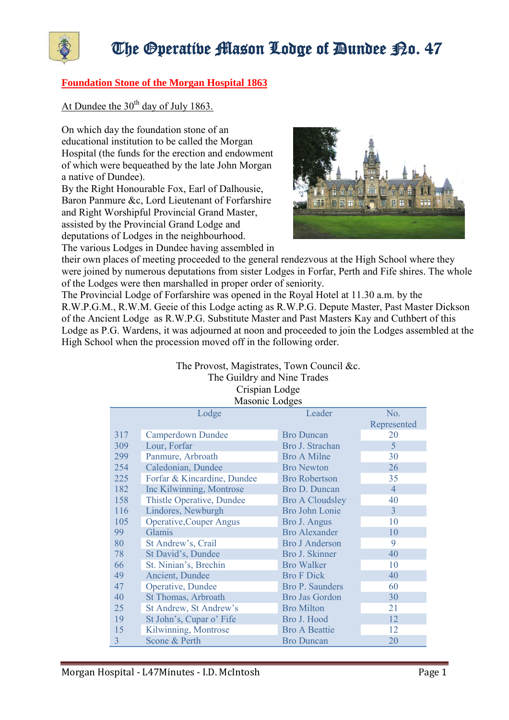

## The Operative Mason Lodge of Dundee P.o. 47

## **Foundation Stone of the Morgan Hospital 1863**

At Dundee the  $30<sup>th</sup>$  day of July 1863.

On which day the foundation stone of an educational institution to be called the Morgan Hospital (the funds for the erection and endowment of which were bequeathed by the late John Morgan a native of Dundee).

By the Right Honourable Fox, Earl of Dalhousie, Baron Panmure &c, Lord Lieutenant of Forfarshire and Right Worshipful Provincial Grand Master, assisted by the Provincial Grand Lodge and deputations of Lodges in the neighbourhood. The various Lodges in Dundee having assembled in



their own places of meeting proceeded to the general rendezvous at the High School where they were joined by numerous deputations from sister Lodges in Forfar, Perth and Fife shires. The whole of the Lodges were then marshalled in proper order of seniority.

The Provincial Lodge of Forfarshire was opened in the Royal Hotel at 11.30 a.m. by the R.W.P.G.M., R.W.M. Geeie of this Lodge acting as R.W.P.G. Depute Master, Past Master Dickson of the Ancient Lodge as R.W.P.G. Substitute Master and Past Masters Kay and Cuthbert of this Lodge as P.G. Wardens, it was adjourned at noon and proceeded to join the Lodges assembled at the High School when the procession moved off in the following order.

> The Provost, Magistrates, Town Council &c. The Guildry and Nine Trades Crispian Lodge Masonic Lodges

| <b>IVIASUIIL LUUGUS</b> |                                  |                        |                |
|-------------------------|----------------------------------|------------------------|----------------|
|                         | Lodge                            | Leader                 | No.            |
|                         |                                  |                        | Represented    |
| 317                     | <b>Camperdown Dundee</b>         | <b>Bro Duncan</b>      | 20             |
| 309                     | Lour, Forfar                     | Bro J. Strachan        | 5              |
| 299                     | Panmure, Arbroath                | <b>Bro A Milne</b>     | 30             |
| 254                     | Caledonian, Dundee               | <b>Bro Newton</b>      | 26             |
| 225                     | Forfar & Kincardine, Dundee      | <b>Bro Robertson</b>   | 35             |
| 182                     | Inc Kilwinning, Montrose         | Bro D. Duncan          | $\overline{4}$ |
| 158                     | <b>Thistle Operative, Dundee</b> | <b>Bro A Cloudsley</b> | 40             |
| 116                     | Lindores, Newburgh               | Bro John Lonie         | 3              |
| 105                     | <b>Operative, Couper Angus</b>   | Bro J. Angus           | 10             |
| 99                      | Glamis                           | <b>Bro Alexander</b>   | 10             |
| 80                      | St Andrew's, Crail               | <b>Bro J Anderson</b>  | 9              |
| 78                      | St David's, Dundee               | Bro J. Skinner         | 40             |
| 66                      | St. Ninian's, Brechin            | <b>Bro Walker</b>      | 10             |
| 49                      | Ancient, Dundee                  | <b>Bro F Dick</b>      | 40             |
| 47                      | Operative, Dundee                | Bro P. Saunders        | 60             |
| 40                      | St Thomas, Arbroath              | <b>Bro Jas Gordon</b>  | 30             |
| 25                      | St Andrew, St Andrew's           | <b>Bro Milton</b>      | 21             |
| 19                      | St John's, Cupar o' Fife         | Bro J. Hood            | 12             |
| 15                      | Kilwinning, Montrose             | <b>Bro A Beattie</b>   | 12             |
| 3                       | Scone & Perth                    | <b>Bro Duncan</b>      | 20             |